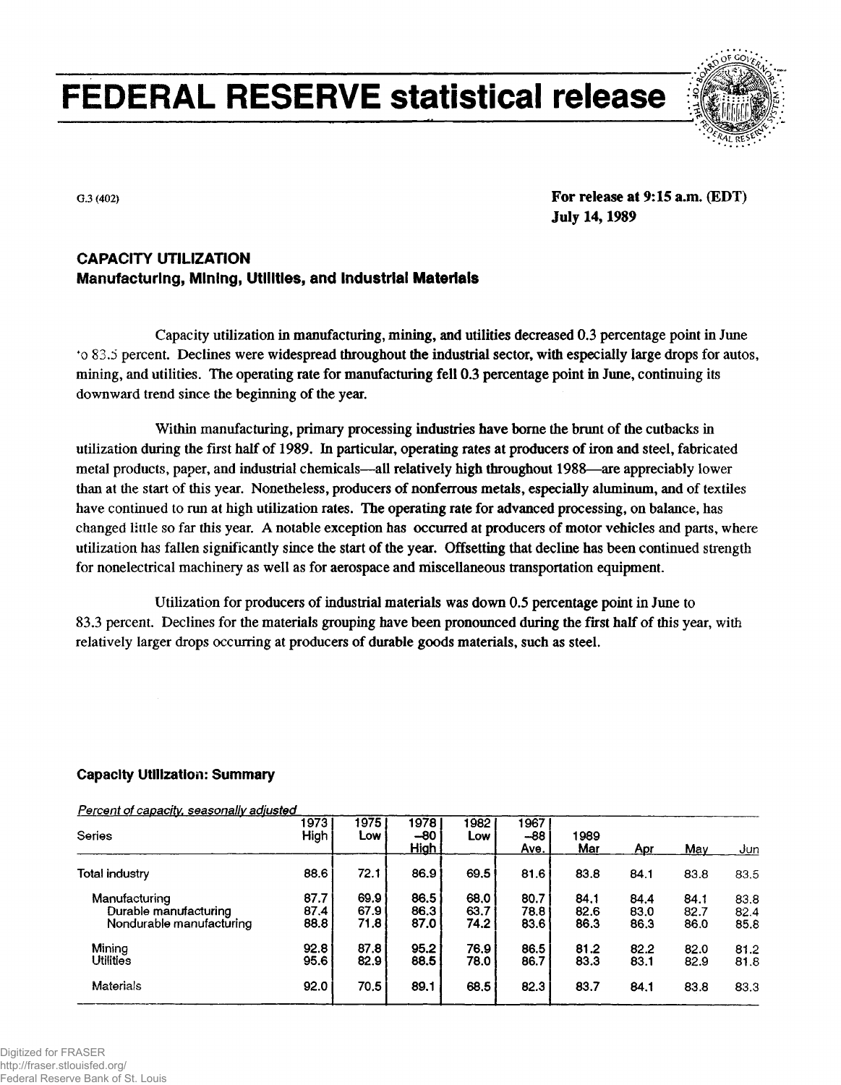**FEDERAL RESERVE statistical release**



G.3 (402)

**For release at 9:15 a.m.** (EDT) **July 14,1989**

# CAPACITY **UTILIZATION** Manufacturing, **Mining, Utilities, and Industrial Materials**

Capacity utilization in manufacturing, mining, and utilities decreased 0.3 percentage point in June 0 83.5 percent. Declines were widespread throughout the industrial sector, with especially large drops for autos, mining, and utilities. The operating rate for manufacturing fell 0.3 percentage point in June, continuing its downward trend since the beginning of the year.

Within manufacturing, primary processing industries have borne the brunt of the cutbacks in utilization during the first half of 1989. In particular, operating rates at producers of iron and steel, fabricated metal products, paper, and industrial chemicals—all relatively high throughout 1988—are appreciably lower than at the start of this year. Nonetheless, producers of nonferrous metals, especially aluminum, and of textiles have continued to run at high utilization rates. The operating rate for advanced processing, on balance, has changed little so far this year. A notable exception has occurred at producers of motor vehicles and parts, where utilization has fallen significantly since the start of the year. Offsetting that decline has been continued strength for nonelectrical machinery as well as for aerospace and miscellaneous transportation equipment.

Utilization for producers of industrial materials was down 0.5 percentage point in June to 83.3 percent. Declines for the materials grouping have been pronounced during the first half of this year, with relatively larger drops occurring at producers of durable goods materials, such as steel.

## Capacity Utilization: Summary

Percent of capacity, seasonally adjusted

| Series                                                             | 1973<br>High         | 1975  <br>Low        | 1978  <br>$-80$<br><b>High</b> | 982<br>Low           | 967<br>$-88$<br>Ave. | 1989<br>Mar          | Apr                  | May                  | Jun                  |
|--------------------------------------------------------------------|----------------------|----------------------|--------------------------------|----------------------|----------------------|----------------------|----------------------|----------------------|----------------------|
| Total industry                                                     | 88.6                 | 72.1                 | 86.9                           | 69.5                 | 81.6                 | 83.8                 | 84.1                 | 83.8                 | 83.5                 |
| Manufacturing<br>Durable manufacturing<br>Nondurable manufacturing | 87.7<br>87.4<br>88.8 | 69.9<br>67.9<br>71.8 | 86.5<br>86.3<br>87.0           | 68.0<br>63.7<br>74.2 | 80.7<br>78.8<br>83.6 | 84.1<br>82.6<br>86.3 | 84.4<br>83.0<br>86.3 | 84.1<br>82.7<br>86.0 | 83.8<br>82.4<br>85.8 |
| Mining<br><b>Utilities</b>                                         | 92.8<br>95.6         | 87.8<br>82.9         | 95.2<br>88.5                   | 76.9<br>78.0         | 86.5<br>86.7         | 81.2<br>83.3         | 82.2<br>83.1         | 82.0<br>82.9         | 81.2<br>81.8         |
| <b>Materials</b>                                                   | 92.0                 | 70.5                 | 89.1                           | 68.5                 | 82.3                 | 83.7                 | 84.1                 | 83.8                 | 83.3                 |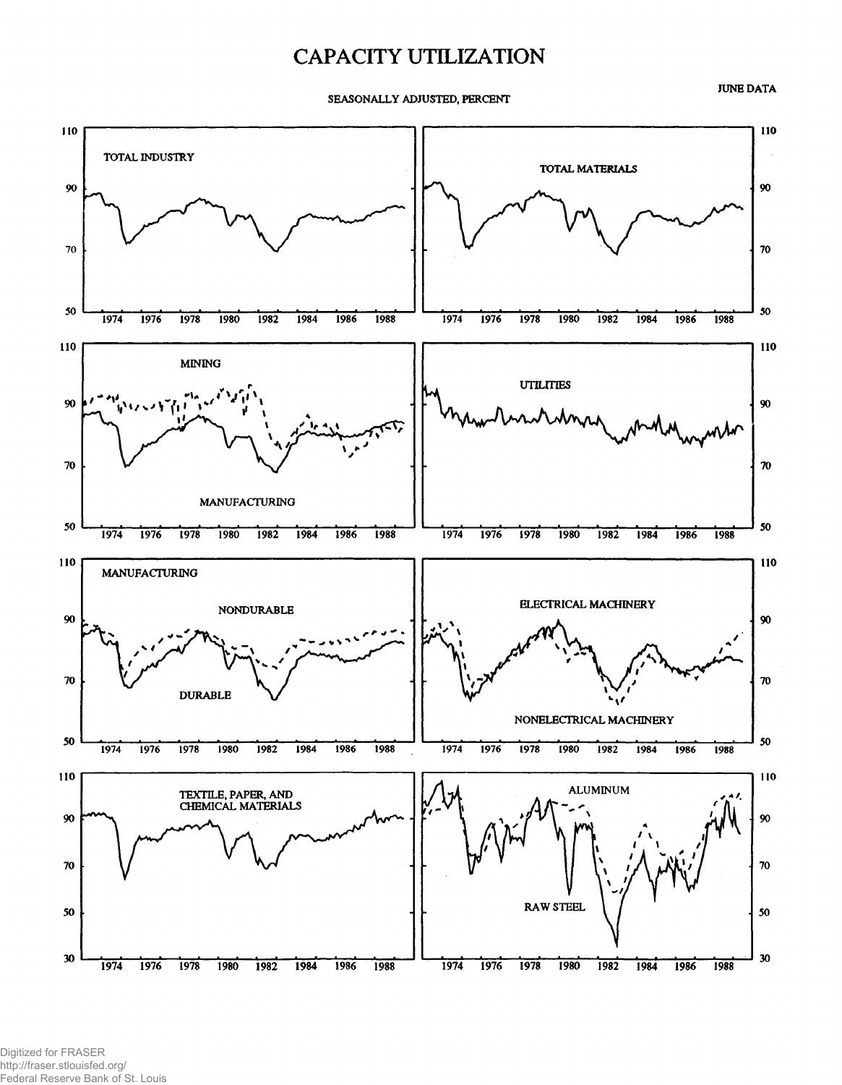# CAPACITY UTILIZATION

**SEASONALLY ADJUSTED, PERCENT**

**JUNE DATA**



Digitized for FRASER http://fraser.stlouisfed.org/ Federal Reserve Bank of St. Louis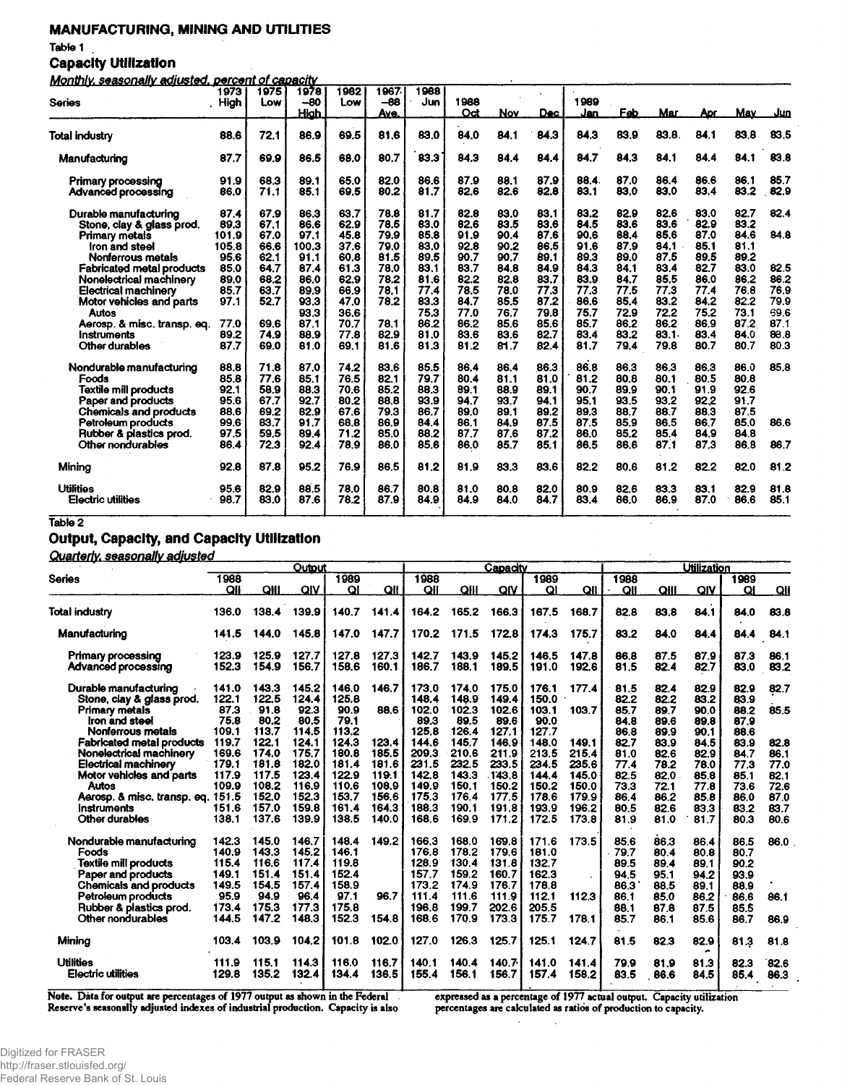## **MANUFACTURING, MINING AND UTILITIES**

**Table 1**

## **Capacity Utilization**

**Monthly, seasonally adjusted, percent of ca pacity**

|                                  | 1973  | 1975 | 1978  | 1982 | 1967 | 1988 |      |      |      |      |      |       |            |      |            |
|----------------------------------|-------|------|-------|------|------|------|------|------|------|------|------|-------|------------|------|------------|
| <b>Series</b>                    | High  | Low  | -80   | Low  | -88  | Jun  | 1988 |      |      | 1989 |      |       |            |      |            |
|                                  |       |      | Hiah  |      | Ave. |      | Oct  | Nov  | Dec  | Jan  | Feb  | Mar.  | <u>Aor</u> | May  | <u>Jun</u> |
| Total industry                   | 88.6  | 72.1 | 86.9  | 69.5 | 81.6 | 83.0 | 84.0 | 84.1 | 84.3 | 84.3 | 83.9 | 83.8  | 84.1       | 83.8 | 83.5       |
| Manufacturing                    | 87.7  | 69.9 | 86.5  | 68.0 | 80.7 | 83.3 | 84.3 | 84.4 | 84.4 | 84.7 | 84.3 | 84.1  | 84.4       | 84.1 | 83.8       |
| Primary processing               | 91.9  | 68.3 | 89.1  | 65.0 | 82.0 | 86.6 | 87.9 | 88.1 | 87.9 | 88.4 | 87.0 | 86.4  | 86.6       | 86.1 | 85.7       |
| Advanced processing              | 86.0  | 71.1 | 85.1  | 69.5 | 80.2 | 81.7 | 82.6 | 82.6 | 82.8 | 83.1 | 83.0 | 83.0  | 83.4       | 83.2 | 82.9       |
| Durable manufacturing            | 87.4  | 67.9 | 86.3  | 63.7 | 78.8 | 81.7 | 82.8 | 83.0 | 83.1 | 83.2 | 82.9 | 82.6  | 83.0       | 82.7 | 82.4       |
| Stone, clay & glass prod.        | 89.3  | 67.1 | 86.6  | 62.9 | 78.5 | 83.0 | 82.6 | 83.5 | 83.6 | 84.5 | 83.6 | 83.6  | 82.9       | 83.2 |            |
| <b>Primary metals</b>            | 101.9 | 67.0 | 97.1  | 45.8 | 79.9 | 85.8 | 91.9 | 90.4 | 87.6 | 90.6 | 88.4 | 85.6  | 87.0       | 84.6 | 84.8       |
| fron and steel                   | 105.8 | 66.6 | 100.3 | 37.6 | 79.0 | 83.0 | 92.8 | 90.2 | 86.5 | 91.6 | 87.9 | 84.1  | 85.1       | 81.1 |            |
| Nonferrous metals                | 95.6  | 62.1 | 91.1  | 60.8 | 81.5 | 89.5 | 90.7 | 90.7 | 89.1 | 89.3 | 89.0 | 87.5  | 89.5       | 89.2 |            |
| <b>Fabricated metal products</b> | 85.0  | 64.7 | 87.4  | 61.3 | 78.0 | 83.1 | 83.7 | 84.8 | 84.9 | 84.3 | 84.1 | 83.4  | 82.7       | 83.0 | 82.5       |
| Nonelectrical machinery          | 89.0  | 68.2 | 86.0  | 62.9 | 78.2 | 81.6 | 82.2 | 82.8 | 83.7 | 83.9 | 84.7 | 85.5  | 86.0       | 86.2 | 86.2       |
| Electrical machinery             | 85,7  | 63.7 | 89.9  | 66.9 | 78.1 | 77.4 | 78.5 | 78.0 | 77.3 | 77.3 | 77.5 | 77.3  | 77.4       | 76.8 | 76.9       |
| Motor vehicles and parts         | 97.1  | 52.7 | 93.3  | 47.0 | 78.2 | 83.3 | 84.7 | 85.5 | 87.2 | 86.6 | 85.4 | 83.2  | 84.2       | 82.2 | 79.9       |
| Autos                            |       |      | 93.3  | 36.6 |      | 75.3 | 77.0 | 76.7 | 79.8 | 75.7 | 72.9 | 72.2  | 75.2       | 73.1 | 69.6       |
| Aerosp. & misc. transp. eq.      | 77.0  | 69.6 | 87.1  | 70.7 | 78.1 | 86.2 | 86.2 | 85.6 | 85.6 | 85.7 | 86.2 | 86.2  | 86.9       | 87.2 | 87.1       |
| Instruments                      | 89.2  | 74.9 | 88.9  | 77.8 | 82.9 | 81.0 | 83.6 | 83.6 | 82.7 | 83.4 | 83.2 | 83.1. | 83.4       | 84.0 | 88.8       |
| Other durables                   | 87.7  | 69.0 | 81.0  | 69.1 | 81.6 | 81.3 | 81.2 | 81.7 | 82.4 | 81.7 | 79.4 | 79.8  | 80.7       | 80.7 | 80.3       |
|                                  |       |      |       |      |      |      |      |      |      |      |      |       |            |      |            |
| Nondurable manufacturing         | 88.8  | 71.8 | 87.0  | 74.2 | 83.6 | 85.5 | 86.4 | 86.4 | 86.3 | 86.8 | 86.3 | 86.3  | 86.3       | 86.0 | 85.8       |
| Foods                            | 85.8  | 77.6 | 85.1  | 76.5 | 82.1 | 79.7 | 80.4 | 81.1 | 81.0 | 81.2 | 80.8 | 80.1  | 80.5       | 80.8 |            |
| Textile mill products            | 92.1  | 58.9 | 88.3  | 70.6 | 85.2 | 88.3 | 89.1 | 88.9 | 89.1 | 90.7 | 89.9 | 90.1  | 91.9       | 92.6 |            |
| Paper and products               | 95.6  | 67.7 | 92.7  | 80.2 | 88.8 | 93.9 | 94.7 | 93.7 | 94.1 | 95.1 | 93.5 | 93.2  | 92.2       | 91.7 |            |
| <b>Chemicals and products</b>    | 88.6  | 69.2 | 82.9  | 67.6 | 79.3 | 86.7 | 89.0 | 89.1 | 89.2 | 89.3 | 88.7 | 88.7  | 88.3       | 87.5 |            |
| Petroleum products               | 99.6  | 83.7 | 91.7  | 68,8 | 86.9 | 84.4 | 86.1 | 84.9 | 87.5 | 87.5 | 85.9 | 86.5  | 86.7       | 85.0 | 86.6       |
| Rubber & plastics prod.          | 97,5  | 59.5 | 89.4  | 71.2 | 85.0 | 88.2 | 87.7 | 87.6 | 87.2 | 86.0 | 85.2 | 85.4  | 84.9       | 84.8 |            |
| Other nondurables                | 86.4  | 72.3 | 92.4  | 78.9 | 86.0 | 85.6 | 86.0 | 85.7 | 85.1 | 86.5 | 86.6 | 87.1  | 87.3       | 86.8 | 86.7       |
| Mining                           | 92.8  | 87.8 | 95.2  | 76.9 | 86.5 | 81.2 | 81.9 | 83.3 | 83.6 | 82.2 | 80.6 | 81.2  | 82.2       | 82.0 | 81.2       |
| <b>Utilities</b>                 | 95.6  | 82.9 | 88.5  | 78.0 | 86.7 | 80.8 | 81.0 | 80.8 | 82.0 | 80.9 | 82.6 | 83.3  | 83.1       | 82.9 | 81.8       |
| <b>Electric utilities</b>        | 98.7  | 83.0 | 87.6  | 78.2 | 87.9 | 84.9 | 84.9 | 84.0 | 84.7 | 83.4 | 86.0 | 86.9  | 87.0       | 86.6 | 85.1       |
| .                                |       |      |       |      |      |      |      |      |      |      |      |       |            |      |            |

**Table 2**

# **Output, Capacity, and Capacity Utilization**

**Quarterly, seasonally adjusted**

|                                                                                  | Qutput                  |                         |                         |                         |                         |                         |                         | Capacity                |                         | <u>Utilization</u>      |                      |                      |                      |                      |                      |
|----------------------------------------------------------------------------------|-------------------------|-------------------------|-------------------------|-------------------------|-------------------------|-------------------------|-------------------------|-------------------------|-------------------------|-------------------------|----------------------|----------------------|----------------------|----------------------|----------------------|
| Series                                                                           | 988                     |                         |                         | 1989                    |                         | 1988                    |                         |                         | 1989                    |                         | 1988                 |                      |                      | 1989                 |                      |
|                                                                                  | QII                     | QIII                    | QIV                     | Qí                      | QII                     | QII                     | QIII                    | QIV                     | Ql                      | QII                     | QI                   | QIII                 | QIV                  | Q                    | QII                  |
| Total industry                                                                   | 136.0                   | 138.4                   | 139.9                   | 140.7                   | 141.4                   | 164.2                   | 165.2                   | 166.3                   | 167.5                   | 168.7                   | 82.8                 | 83.8                 | 84.1                 | 84.0                 | 83.8                 |
| Manufacturing                                                                    | 141.5                   | 144.0                   | 145.8                   | 147.0                   | 147.7                   | 170.2                   | 171.5                   | 172.8                   | 174.3                   | 175.7                   | 83.2                 | 84.0                 | 84.4                 | 84.4                 | 84.1                 |
| Primary processing<br>Advanced processing                                        | 123.9<br>152.3          | 125.9<br>154.9          | 127.7<br>156.7          | 127.8<br>158.6          | 127.3<br>160.1          | 142.7<br>186.7          | 143.9<br>188.1          | 145.2<br>189.5          | 146.5<br>191.0          | 147.8<br>192.6          | 86.8<br>81.5         | 87.5<br>82.4         | 87.9<br>82.7         | 87.3<br>83.0         | 86.1<br>83.2         |
| Durable manufacturing<br>Stone, clay & glass prod.                               | 141.0<br>122.1          | 143.3<br>122.5          | 145.2<br>124.4          | 146.0<br>125.8          | 146.7                   | 173.0<br>148.4          | 174.0<br>148.9          | 175.0<br>149.4          | 176.1<br>150.0          | 177.4                   | 81.5<br>82.2         | 82.4<br>82.2         | 82.9<br>83.2         | 82.9<br>83.9         | 82.7                 |
| <b>Primary metals</b><br>Iron and steel                                          | 87.3<br>75.8            | 91.8<br>80.2            | 92.3<br>80.5            | 90.9<br>79.1            | 88.6                    | 102.0<br>89.3           | 102.3<br>89.5           | 102.6<br>89.6           | 103.1<br>90.0           | 103.7                   | 85.7<br>84.8         | 89.7<br>89.6         | 90.0<br>89.8         | 88.2<br>87.9         | 85.5                 |
| Nonferrous metals<br><b>Fabricated metal products</b><br>Nonelectrical machinery | 109.1<br>119.7<br>169.6 | 113.7<br>122.1<br>174.0 | 114.5<br>124.1<br>175.7 | 113.2<br>124.3<br>180.8 | 123.4<br>185.5          | 125.8<br>144.6<br>209.3 | 126.4<br>145.7<br>210.6 | 127.1<br>146.9<br>211.9 | 127.7<br>148.0<br>213.5 | 149.1<br>215.4          | 86.8<br>82.7<br>81.0 | 89.9<br>83.9<br>82.6 | 90.1<br>84.5<br>82.9 | 88.6<br>83.9<br>84.7 | 82.8<br>86.1         |
| Electrical machinery<br>Motor vehicles and parts                                 | 179.1<br>117.9          | 181.8<br>117.5          | 182.0<br>123.4          | 181.4<br>122.9          | 181.6<br>119.1          | 231.5<br>142.8          | 232.5<br>143.3          | 233.5<br>143.8          | 234.5<br>144.4          | 235.6<br>145.0          | 77.4<br>82.5         | 78.2<br>82.0         | 78.0<br>85.8         | 77.3<br>85.1         | 77.0<br>82.1         |
| Autos<br>Aerosp. & misc. transp. eq.<br>Instruments                              | 109.9<br>151.5<br>151.6 | 108.2<br>152.0<br>157.0 | 116.9<br>152.3<br>159.8 | 110.6<br>153.7<br>161.4 | 108.9<br>156.6<br>164.3 | 149.9<br>175.3<br>188.3 | 150.1<br>176.4<br>190.1 | 150.2<br>177.5<br>191.8 | 150.2<br>178.6<br>193.9 | 150.0<br>179.9<br>196.2 | 73.3<br>86.4<br>80.5 | 72.1<br>86.2<br>82.6 | 77.8<br>85.8<br>83.3 | 73.6<br>86.0<br>83.2 | 72.6<br>87.0<br>83.7 |
| Other durables                                                                   | 138.1                   | 137.6                   | 139.9                   | 138.5                   | 140.0                   | 168.6                   | 169.9                   | 171.2                   | 172.5                   | 173.8                   | 81.9                 | 81.0                 | 81.7                 | 80.3                 | 80.6                 |
| Nondurable manufacturing<br>Foods                                                | 142.3<br>140.9          | 145.0<br>143.3          | 146.7<br>145.2          | 148.4<br>146.1          | 149.2                   | 166.3<br>176.8          | 168.0<br>178.2          | 169.8<br>179.6          | 171.6<br>181.0          | 173.5                   | 85.6<br>79.7         | 86.3<br>80.4         | 86.4<br>80.8         | 86.5<br>80.7         | 86.0                 |
| Textile mill products<br>Paper and products<br><b>Chemicals and products</b>     | 115.4<br>149.1<br>149.5 | 116.6<br>151.4<br>154.5 | 117.4<br>151.4<br>157.4 | 119.8<br>152.4<br>158.9 |                         | 128.9<br>157.7<br>173.2 | 130.4<br>159.2<br>174.9 | 131.8<br>160.7<br>176.7 | 132.7<br>162.3<br>178.8 |                         | 89.5<br>94.5<br>86.3 | 89.4<br>95.1<br>88.5 | 89.1<br>94.2<br>89.1 | 90.2<br>93.9<br>88.9 |                      |
| Petroleum products<br>Rubber & plastics prod.<br>Other nondurables               | 95.9<br>173.4<br>144.5  | 94.9<br>175.3<br>147.2  | 96.4<br>177.3<br>148.3  | 97.1<br>175.8<br>152.3  | 96.7<br>154.8           | 111.4<br>196.8<br>168.6 | 111.6<br>199.7<br>170.9 | 111.9<br>202.6<br>173.3 | 112.1<br>205.5<br>175.7 | 112.3<br>178.1          | 86.1<br>88.1<br>85.7 | 85.0<br>87.8<br>86.1 | 86.2<br>87.5<br>85.6 | 86.6<br>85.5<br>86.7 | 86.1<br>86.9         |
| Mining                                                                           | 103.4                   | 103.9                   | 104.2                   | 101.8                   | 102.0                   | 127.0                   | 126.3                   | 125.7                   | 125.1                   | 124.7                   | 81.5                 | 82.3                 | 82.9                 | 81.3                 | 81.8                 |
| <b>Utilities</b>                                                                 | 111.9                   | 115.1                   | 114.3                   | 116.0                   | 116.7                   | 140.1                   | 140.4                   | 140.7 <sub>1</sub>      | 141.0                   | 141.4                   | 79.9                 | 81.9                 | ۰<br>81.3            | 82.3                 | 82.6                 |
| <b>Electric utilities</b>                                                        | 129.8                   | 135.2                   | 132.4                   | 134.4                   | 136.5                   | 155.4                   | 156.1                   | 156.7                   | 157.4                   | 158.2                   | 83.5                 | 86.6                 | 84.5                 | 85.4                 | 86.3                 |

**Note.** Data for output are percentages of 1977 output as shown in the Federal Reserve's seasonally adjusted indexes of industrial production. Capacity is also expressed as a percentage of 1977 actual output. Capacity utilization percentages are calculated as ratios of production to capacity.